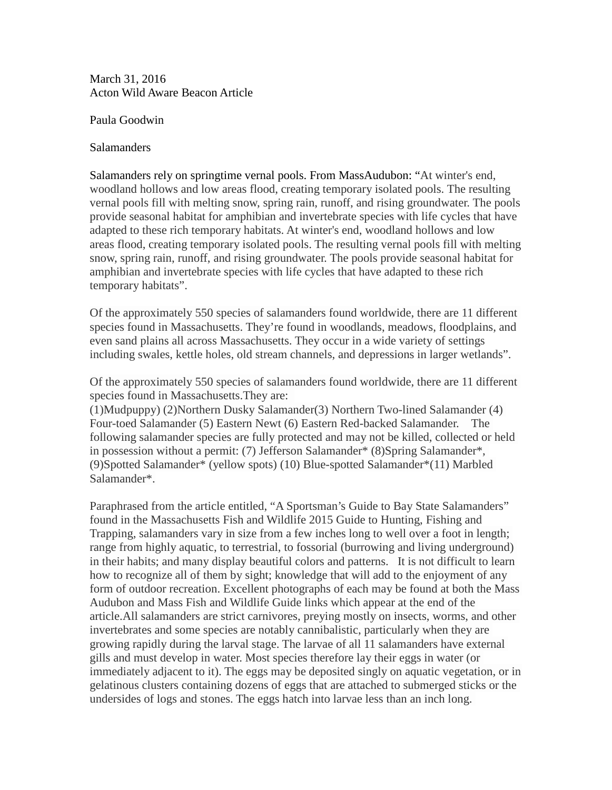March 31, 2016 Acton Wild Aware Beacon Article

Paula Goodwin

## **Salamanders**

Salamanders rely on springtime vernal pools. From MassAudubon: "At winter's end, woodland hollows and low areas flood, creating temporary isolated pools. The resulting vernal pools fill with melting snow, spring rain, runoff, and rising groundwater. The pools provide seasonal habitat for amphibian and invertebrate species with life cycles that have adapted to these rich temporary habitats. At winter's end, woodland hollows and low areas flood, creating temporary isolated pools. The resulting vernal pools fill with melting snow, spring rain, runoff, and rising groundwater. The pools provide seasonal habitat for amphibian and invertebrate species with life cycles that have adapted to these rich temporary habitats".

Of the approximately 550 species of salamanders found worldwide, there are 11 different species found in Massachusetts. They're found in woodlands, meadows, floodplains, and even sand plains all across Massachusetts. They occur in a wide variety of settings including swales, kettle holes, old stream channels, and depressions in larger wetlands".

Of the approximately 550 species of salamanders found worldwide, there are 11 different species found in Massachusetts.They are:

(1)Mudpuppy) (2)Northern Dusky Salamander(3) Northern Two-lined Salamander (4) Four-toed Salamander (5) Eastern Newt (6) Eastern Red-backed Salamander. The following salamander species are fully protected and may not be killed, collected or held in possession without a permit: (7) Jefferson Salamander\* (8)Spring Salamander\*, (9)Spotted Salamander\* (yellow spots) (10) Blue-spotted Salamander\*(11) Marbled Salamander\*.

Paraphrased from the article entitled, "A Sportsman's Guide to Bay State Salamanders" found in the Massachusetts Fish and Wildlife 2015 Guide to Hunting, Fishing and Trapping, salamanders vary in size from a few inches long to well over a foot in length; range from highly aquatic, to terrestrial, to fossorial (burrowing and living underground) in their habits; and many display beautiful colors and patterns. It is not difficult to learn how to recognize all of them by sight; knowledge that will add to the enjoyment of any form of outdoor recreation. Excellent photographs of each may be found at both the Mass Audubon and Mass Fish and Wildlife Guide links which appear at the end of the article.All salamanders are strict carnivores, preying mostly on insects, worms, and other invertebrates and some species are notably cannibalistic, particularly when they are growing rapidly during the larval stage. The larvae of all 11 salamanders have external gills and must develop in water. Most species therefore lay their eggs in water (or immediately adjacent to it). The eggs may be deposited singly on aquatic vegetation, or in gelatinous clusters containing dozens of eggs that are attached to submerged sticks or the undersides of logs and stones. The eggs hatch into larvae less than an inch long.